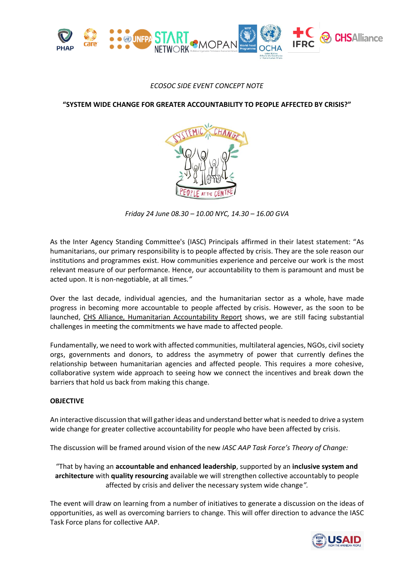

## *ECOSOC SIDE EVENT CONCEPT NOTE*

**"SYSTEM WIDE CHANGE FOR GREATER ACCOUNTABILITY TO PEOPLE AFFECTED BY CRISIS?"**



*Friday 24 June 08.30 – 10.00 NYC, 14.30 – 16.00 GVA*

As the Inter Agency Standing Committee's (IASC) Principals affirmed in their latest statement: "As humanitarians, our primary responsibility is to people affected by crisis. They are the sole reason our institutions and programmes exist. How communities experience and perceive our work is the most relevant measure of our performance. Hence, our accountability to them is paramount and must be acted upon. It is non-negotiable, at all times*."*

Over the last decade, individual agencies, and the humanitarian sector as a whole, have made progress in becoming more accountable to people affected by crisis. However, as the soon to be launched, CHS Alliance, Humanitarian Accountability Report shows, we are still facing substantial challenges in meeting the commitments we have made to affected people.

Fundamentally, we need to work with affected communities, multilateral agencies, NGOs, civil society orgs, governments and donors, to address the asymmetry of power that currently defines the relationship between humanitarian agencies and affected people. This requires a more cohesive, collaborative system wide approach to seeing how we connect the incentives and break down the barriers that hold us back from making this change.

## **OBJECTIVE**

An interactive discussion that will gatherideas and understand better what is needed to drive a system wide change for greater collective accountability for people who have been affected by crisis.

The discussion will be framed around vision of the new *IASC AAP Task Force's Theory of Change:*

"That by having an **accountable and enhanced leadership**, supported by an **inclusive system and architecture** with **quality resourcing** available we will strengthen collective accountably to people affected by crisis and deliver the necessary system wide change*".*

The event will draw on learning from a number of initiatives to generate a discussion on the ideas of opportunities, as well as overcoming barriers to change. This will offer direction to advance the IASC Task Force plans for collective AAP.